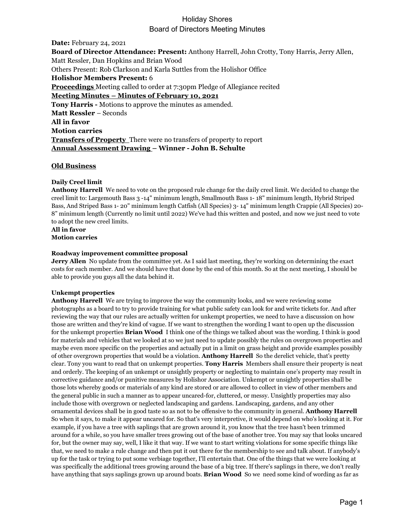# Holiday Shores Board of Directors Meeting Minutes

**Date:** February 24, 2021 **Board of Director Attendance: Present:** Anthony Harrell, John Crotty, Tony Harris, Jerry Allen, Matt Ressler, Dan Hopkins and Brian Wood Others Present: Rob Clarkson and Karla Suttles from the Holishor Office **Holishor Members Present:** 6 **Proceedings** Meeting called to order at 7:30pm Pledge of Allegiance recited **Meeting Minutes – Minutes of February 10, 2021 Tony Harris -** Motions to approve the minutes as amended. **Matt Ressler** – Seconds **All in favor Motion carries Transfers of Property** There were no transfers of property to report **Annual Assessment Drawing – Winner - John B. Schulte**

## **Old Business**

#### **Daily Creel limit**

**Anthony Harrell** We need to vote on the proposed rule change for the daily creel limit. We decided to change the creel limit to: Largemouth Bass 3 -14" minimum length, Smallmouth Bass 1- 18" minimum length, Hybrid Striped Bass, And Striped Bass 1- 20" minimum length Catfish (All Species) 3- 14" minimum length Crappie (All Species) 20- 8" minimum length (Currently no limit until 2022) We've had this written and posted, and now we just need to vote to adopt the new creel limits.

**All in favor Motion carries**

#### **Roadway improvement committee proposal**

**Jerry Allen** No update from the committee yet. As I said last meeting, they're working on determining the exact costs for each member. And we should have that done by the end of this month. So at the next meeting, I should be able to provide you guys all the data behind it.

## **Unkempt properties**

**Anthony Harrell** We are trying to improve the way the community looks, and we were reviewing some photographs as a board to try to provide training for what public safety can look for and write tickets for. And after reviewing the way that our rules are actually written for unkempt properties, we need to have a discussion on how those are written and they're kind of vague. If we want to strengthen the wording I want to open up the discussion for the unkempt properties **Brian Wood** I think one of the things we talked about was the wording. I think is good for materials and vehicles that we looked at so we just need to update possibly the rules on overgrown properties and maybe even more specific on the properties and actually put in a limit on grass height and provide examples possibly of other overgrown properties that would be a violation. **Anthony Harrell** So the derelict vehicle, that's pretty clear. Tony you want to read that on unkempt properties. **Tony Harris** Members shall ensure their property is neat and orderly. The keeping of an unkempt or unsightly property or neglecting to maintain one's property may result in corrective guidance and/or punitive measures by Holishor Association. Unkempt or unsightly properties shall be those lots whereby goods or materials of any kind are stored or are allowed to collect in view of other members and the general public in such a manner as to appear uncared-for, cluttered, or messy. Unsightly properties may also include those with overgrown or neglected landscaping and gardens. Landscaping, gardens, and any other ornamental devices shall be in good taste so as not to be offensive to the community in general. **Anthony Harrell** So when it says, to make it appear uncared for. So that's very interpretive, it would depend on who's looking at it. For example, if you have a tree with saplings that are grown around it, you know that the tree hasn't been trimmed around for a while, so you have smaller trees growing out of the base of another tree. You may say that looks uncared for, but the owner may say, well, I like it that way. If we want to start writing violations for some specific things like that, we need to make a rule change and then put it out there for the membership to see and talk about. If anybody's up for the task or trying to put some verbiage together, I'll entertain that. One of the things that we were looking at was specifically the additional trees growing around the base of a big tree. If there's saplings in there, we don't really have anything that says saplings grown up around boats. **Brian Wood** So we need some kind of wording as far as